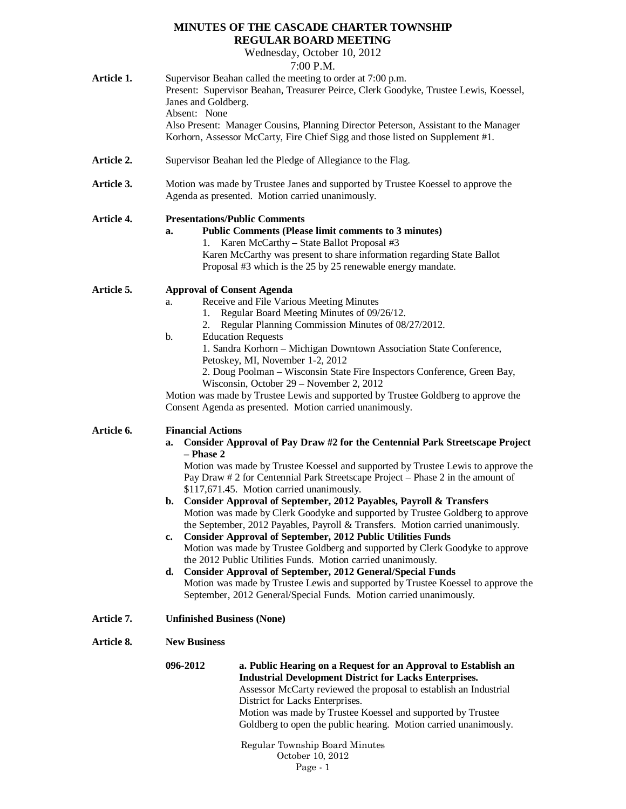# **MINUTES OF THE CASCADE CHARTER TOWNSHIP REGULAR BOARD MEETING**

Wednesday, October 10, 2012

7:00 P.M.

| Article 1. | $1.00 \text{ F}$ .171.<br>Supervisor Beahan called the meeting to order at 7:00 p.m.<br>Present: Supervisor Beahan, Treasurer Peirce, Clerk Goodyke, Trustee Lewis, Koessel,<br>Janes and Goldberg.<br>Absent: None<br>Also Present: Manager Cousins, Planning Director Peterson, Assistant to the Manager<br>Korhorn, Assessor McCarty, Fire Chief Sigg and those listed on Supplement #1.                                                                                                                                                                                                                                                                                                                                                                                                                                                                                                                                                                                                                                                                        |                                                                                                                                                                                                                                                                                                                                                                            |  |
|------------|--------------------------------------------------------------------------------------------------------------------------------------------------------------------------------------------------------------------------------------------------------------------------------------------------------------------------------------------------------------------------------------------------------------------------------------------------------------------------------------------------------------------------------------------------------------------------------------------------------------------------------------------------------------------------------------------------------------------------------------------------------------------------------------------------------------------------------------------------------------------------------------------------------------------------------------------------------------------------------------------------------------------------------------------------------------------|----------------------------------------------------------------------------------------------------------------------------------------------------------------------------------------------------------------------------------------------------------------------------------------------------------------------------------------------------------------------------|--|
| Article 2. | Supervisor Beahan led the Pledge of Allegiance to the Flag.                                                                                                                                                                                                                                                                                                                                                                                                                                                                                                                                                                                                                                                                                                                                                                                                                                                                                                                                                                                                        |                                                                                                                                                                                                                                                                                                                                                                            |  |
| Article 3. | Motion was made by Trustee Janes and supported by Trustee Koessel to approve the<br>Agenda as presented. Motion carried unanimously.                                                                                                                                                                                                                                                                                                                                                                                                                                                                                                                                                                                                                                                                                                                                                                                                                                                                                                                               |                                                                                                                                                                                                                                                                                                                                                                            |  |
| Article 4. | a.<br>1.                                                                                                                                                                                                                                                                                                                                                                                                                                                                                                                                                                                                                                                                                                                                                                                                                                                                                                                                                                                                                                                           | <b>Presentations/Public Comments</b><br><b>Public Comments (Please limit comments to 3 minutes)</b><br>Karen McCarthy - State Ballot Proposal #3<br>Karen McCarthy was present to share information regarding State Ballot<br>Proposal #3 which is the 25 by 25 renewable energy mandate.                                                                                  |  |
| Article 5. | <b>Approval of Consent Agenda</b><br>Receive and File Various Meeting Minutes<br>a.<br>Regular Board Meeting Minutes of 09/26/12.<br>1.<br>2. Regular Planning Commission Minutes of 08/27/2012.<br><b>Education Requests</b><br>b.<br>1. Sandra Korhorn - Michigan Downtown Association State Conference,<br>Petoskey, MI, November 1-2, 2012<br>2. Doug Poolman - Wisconsin State Fire Inspectors Conference, Green Bay,<br>Wisconsin, October 29 – November 2, 2012<br>Motion was made by Trustee Lewis and supported by Trustee Goldberg to approve the<br>Consent Agenda as presented. Motion carried unanimously.                                                                                                                                                                                                                                                                                                                                                                                                                                            |                                                                                                                                                                                                                                                                                                                                                                            |  |
| Article 6. | <b>Financial Actions</b><br>Consider Approval of Pay Draw #2 for the Centennial Park Streetscape Project<br>a.<br>$-$ Phase 2<br>Motion was made by Trustee Koessel and supported by Trustee Lewis to approve the<br>Pay Draw # 2 for Centennial Park Streetscape Project – Phase 2 in the amount of<br>\$117,671.45. Motion carried unanimously.<br>Consider Approval of September, 2012 Payables, Payroll & Transfers<br>b.<br>Motion was made by Clerk Goodyke and supported by Trustee Goldberg to approve<br>the September, 2012 Payables, Payroll & Transfers. Motion carried unanimously.<br><b>Consider Approval of September, 2012 Public Utilities Funds</b><br>c.<br>Motion was made by Trustee Goldberg and supported by Clerk Goodyke to approve<br>the 2012 Public Utilities Funds. Motion carried unanimously.<br><b>Consider Approval of September, 2012 General/Special Funds</b><br>d.<br>Motion was made by Trustee Lewis and supported by Trustee Koessel to approve the<br>September, 2012 General/Special Funds. Motion carried unanimously. |                                                                                                                                                                                                                                                                                                                                                                            |  |
| Article 7. |                                                                                                                                                                                                                                                                                                                                                                                                                                                                                                                                                                                                                                                                                                                                                                                                                                                                                                                                                                                                                                                                    | <b>Unfinished Business (None)</b>                                                                                                                                                                                                                                                                                                                                          |  |
| Article 8. | <b>New Business</b>                                                                                                                                                                                                                                                                                                                                                                                                                                                                                                                                                                                                                                                                                                                                                                                                                                                                                                                                                                                                                                                |                                                                                                                                                                                                                                                                                                                                                                            |  |
|            | 096-2012                                                                                                                                                                                                                                                                                                                                                                                                                                                                                                                                                                                                                                                                                                                                                                                                                                                                                                                                                                                                                                                           | a. Public Hearing on a Request for an Approval to Establish an<br><b>Industrial Development District for Lacks Enterprises.</b><br>Assessor McCarty reviewed the proposal to establish an Industrial<br>District for Lacks Enterprises.<br>Motion was made by Trustee Koessel and supported by Trustee<br>Goldberg to open the public hearing. Motion carried unanimously. |  |
|            |                                                                                                                                                                                                                                                                                                                                                                                                                                                                                                                                                                                                                                                                                                                                                                                                                                                                                                                                                                                                                                                                    | Regular Township Board Minutes                                                                                                                                                                                                                                                                                                                                             |  |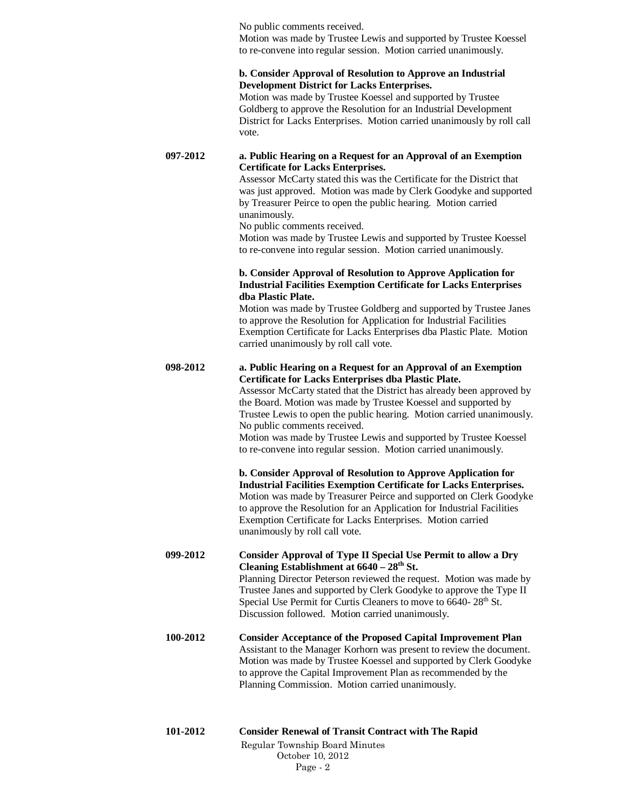No public comments received. Motion was made by Trustee Lewis and supported by Trustee Koessel to re-convene into regular session. Motion carried unanimously.

#### **b. Consider Approval of Resolution to Approve an Industrial Development District for Lacks Enterprises.**

Motion was made by Trustee Koessel and supported by Trustee Goldberg to approve the Resolution for an Industrial Development District for Lacks Enterprises. Motion carried unanimously by roll call vote.

**097-2012 a. Public Hearing on a Request for an Approval of an Exemption Certificate for Lacks Enterprises.**

Assessor McCarty stated this was the Certificate for the District that was just approved. Motion was made by Clerk Goodyke and supported by Treasurer Peirce to open the public hearing. Motion carried unanimously.

No public comments received.

Motion was made by Trustee Lewis and supported by Trustee Koessel to re-convene into regular session. Motion carried unanimously.

## **b. Consider Approval of Resolution to Approve Application for Industrial Facilities Exemption Certificate for Lacks Enterprises dba Plastic Plate.**

Motion was made by Trustee Goldberg and supported by Trustee Janes to approve the Resolution for Application for Industrial Facilities Exemption Certificate for Lacks Enterprises dba Plastic Plate. Motion carried unanimously by roll call vote.

## **098-2012 a. Public Hearing on a Request for an Approval of an Exemption Certificate for Lacks Enterprises dba Plastic Plate.**

Assessor McCarty stated that the District has already been approved by the Board. Motion was made by Trustee Koessel and supported by Trustee Lewis to open the public hearing. Motion carried unanimously. No public comments received.

Motion was made by Trustee Lewis and supported by Trustee Koessel to re-convene into regular session. Motion carried unanimously.

**b. Consider Approval of Resolution to Approve Application for Industrial Facilities Exemption Certificate for Lacks Enterprises.** Motion was made by Treasurer Peirce and supported on Clerk Goodyke to approve the Resolution for an Application for Industrial Facilities Exemption Certificate for Lacks Enterprises. Motion carried unanimously by roll call vote.

**099-2012 Consider Approval of Type II Special Use Permit to allow a Dry Cleaning Establishment at 6640 – 28th St.**  Planning Director Peterson reviewed the request. Motion was made by Trustee Janes and supported by Clerk Goodyke to approve the Type II Special Use Permit for Curtis Cleaners to move to 6640-28<sup>th</sup> St. Discussion followed. Motion carried unanimously.

## **100-2012 Consider Acceptance of the Proposed Capital Improvement Plan** Assistant to the Manager Korhorn was present to review the document. Motion was made by Trustee Koessel and supported by Clerk Goodyke to approve the Capital Improvement Plan as recommended by the Planning Commission. Motion carried unanimously.

| 101-2012 | <b>Consider Renewal of Transit Contract with The Rapid</b> |
|----------|------------------------------------------------------------|
|          | Regular Township Board Minutes                             |
|          | October 10, 2012                                           |
|          | $Page-2$                                                   |